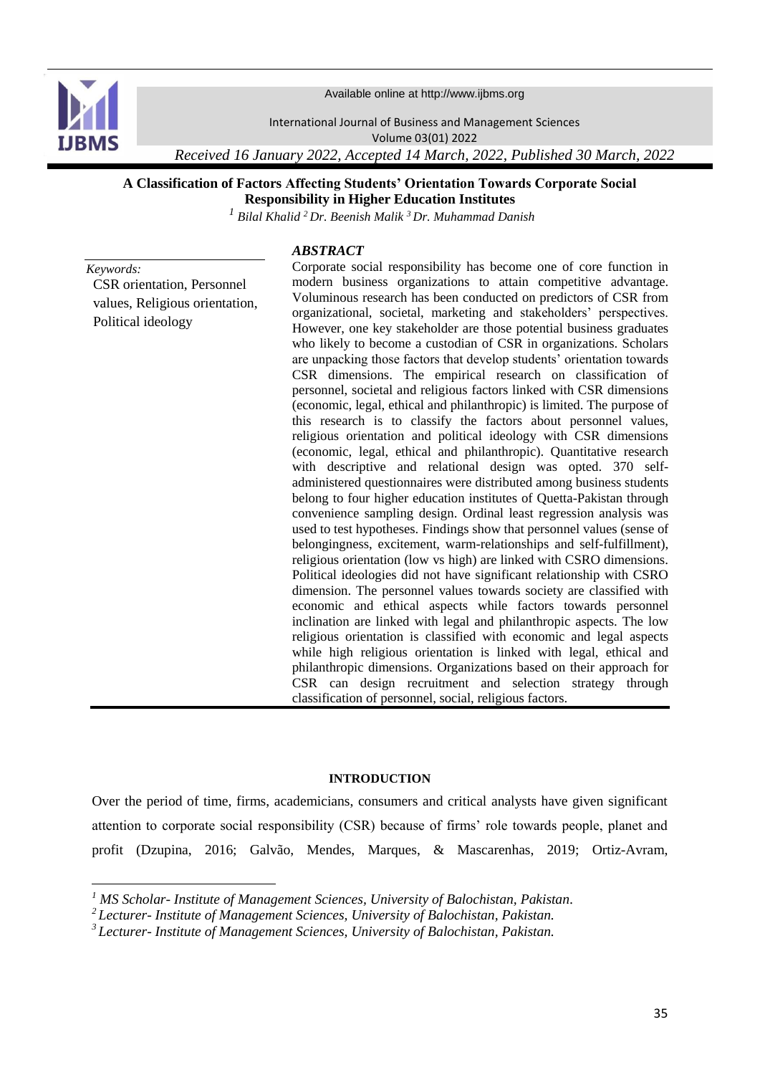

**.** 

Available online at http://www.ijbms.org

International Journal of Business and Management Sciences

Volume 03(01) 2022

*Received 16 January 2022, Accepted 14 March, 2022, Published 30 March, 2022*

# **A Classification of Factors Affecting Students' Orientation Towards Corporate Social Responsibility in Higher Education Institutes**

*<sup>1</sup> Bilal Khalid <sup>2</sup>Dr. Beenish Malik <sup>3</sup>Dr. Muhammad Danish*

# *ABSTRACT*

*Keywords:* CSR orientation, Personnel values, Religious orientation, Political ideology

Corporate social responsibility has become one of core function in modern business organizations to attain competitive advantage. Voluminous research has been conducted on predictors of CSR from organizational, societal, marketing and stakeholders' perspectives. However, one key stakeholder are those potential business graduates who likely to become a custodian of CSR in organizations. Scholars are unpacking those factors that develop students' orientation towards CSR dimensions. The empirical research on classification of personnel, societal and religious factors linked with CSR dimensions (economic, legal, ethical and philanthropic) is limited. The purpose of this research is to classify the factors about personnel values, religious orientation and political ideology with CSR dimensions (economic, legal, ethical and philanthropic). Quantitative research with descriptive and relational design was opted. 370 selfadministered questionnaires were distributed among business students belong to four higher education institutes of Quetta-Pakistan through convenience sampling design. Ordinal least regression analysis was used to test hypotheses. Findings show that personnel values (sense of belongingness, excitement, warm-relationships and self-fulfillment), religious orientation (low vs high) are linked with CSRO dimensions. Political ideologies did not have significant relationship with CSRO dimension. The personnel values towards society are classified with economic and ethical aspects while factors towards personnel inclination are linked with legal and philanthropic aspects. The low religious orientation is classified with economic and legal aspects while high religious orientation is linked with legal, ethical and philanthropic dimensions. Organizations based on their approach for CSR can design recruitment and selection strategy through classification of personnel, social, religious factors.

#### **INTRODUCTION**

Over the period of time, firms, academicians, consumers and critical analysts have given significant attention to corporate social responsibility (CSR) because of firms' role towards people, planet and profit [\(Dzupina, 2016;](#page-16-0) [Galvão, Mendes, Marques, & Mascarenhas, 2019;](#page-17-0) [Ortiz-Avram,](#page-18-0) 

*<sup>1</sup> MS Scholar- Institute of Management Sciences, University of Balochistan, Pakistan.*

*<sup>2</sup>Lecturer- Institute of Management Sciences, University of Balochistan, Pakistan.*

*<sup>3</sup>Lecturer- Institute of Management Sciences, University of Balochistan, Pakistan.*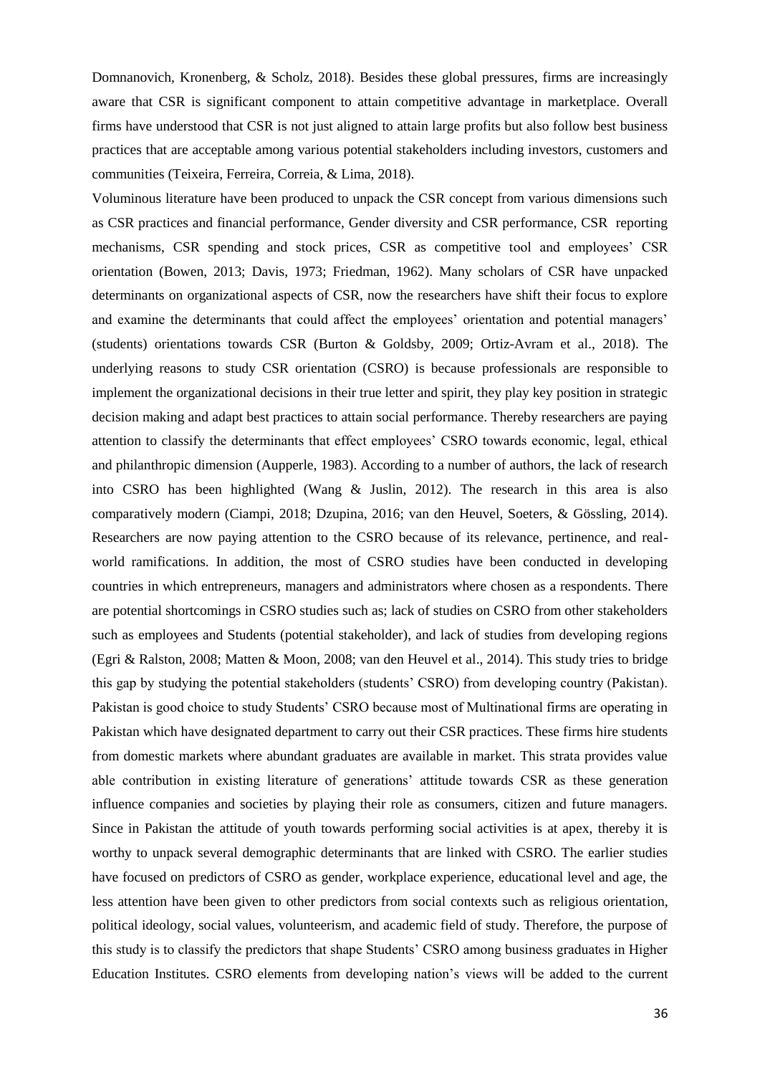[Domnanovich, Kronenberg, & Scholz, 2018\)](#page-18-0). Besides these global pressures, firms are increasingly aware that CSR is significant component to attain competitive advantage in marketplace. Overall firms have understood that CSR is not just aligned to attain large profits but also follow best business practices that are acceptable among various potential stakeholders including investors, customers and communities [\(Teixeira, Ferreira, Correia, & Lima, 2018\)](#page-18-1).

Voluminous literature have been produced to unpack the CSR concept from various dimensions such as CSR practices and financial performance, Gender diversity and CSR performance, CSR reporting mechanisms, CSR spending and stock prices, CSR as competitive tool and employees' CSR orientation [\(Bowen, 2013;](#page-15-0) [Davis, 1973;](#page-16-1) [Friedman, 1962\)](#page-17-1). Many scholars of CSR have unpacked determinants on organizational aspects of CSR, now the researchers have shift their focus to explore and examine the determinants that could affect the employees' orientation and potential managers' (students) orientations towards CSR [\(Burton & Goldsby, 2009;](#page-16-2) [Ortiz-Avram et al., 2018\)](#page-18-0). The underlying reasons to study CSR orientation (CSRO) is because professionals are responsible to implement the organizational decisions in their true letter and spirit, they play key position in strategic decision making and adapt best practices to attain social performance. Thereby researchers are paying attention to classify the determinants that effect employees' CSRO towards economic, legal, ethical and philanthropic dimension [\(Aupperle, 1983\)](#page-15-1). According to a number of authors, the lack of research into CSRO has been highlighted [\(Wang & Juslin, 2012\)](#page-19-0). The research in this area is also comparatively modern [\(Ciampi, 2018;](#page-16-3) [Dzupina, 2016;](#page-16-0) [van den Heuvel, Soeters, & Gössling, 2014\)](#page-19-1). Researchers are now paying attention to the CSRO because of its relevance, pertinence, and realworld ramifications. In addition, the most of CSRO studies have been conducted in developing countries in which entrepreneurs, managers and administrators where chosen as a respondents. There are potential shortcomings in CSRO studies such as; lack of studies on CSRO from other stakeholders such as employees and Students (potential stakeholder), and lack of studies from developing regions [\(Egri & Ralston, 2008;](#page-16-4) [Matten & Moon, 2008;](#page-17-2) [van den Heuvel et al., 2014\)](#page-19-1). This study tries to bridge this gap by studying the potential stakeholders (students' CSRO) from developing country (Pakistan). Pakistan is good choice to study Students' CSRO because most of Multinational firms are operating in Pakistan which have designated department to carry out their CSR practices. These firms hire students from domestic markets where abundant graduates are available in market. This strata provides value able contribution in existing literature of generations' attitude towards CSR as these generation influence companies and societies by playing their role as consumers, citizen and future managers. Since in Pakistan the attitude of youth towards performing social activities is at apex, thereby it is worthy to unpack several demographic determinants that are linked with CSRO. The earlier studies have focused on predictors of CSRO as gender, workplace experience, educational level and age, the less attention have been given to other predictors from social contexts such as religious orientation, political ideology, social values, volunteerism, and academic field of study. Therefore, the purpose of this study is to classify the predictors that shape Students' CSRO among business graduates in Higher Education Institutes. CSRO elements from developing nation's views will be added to the current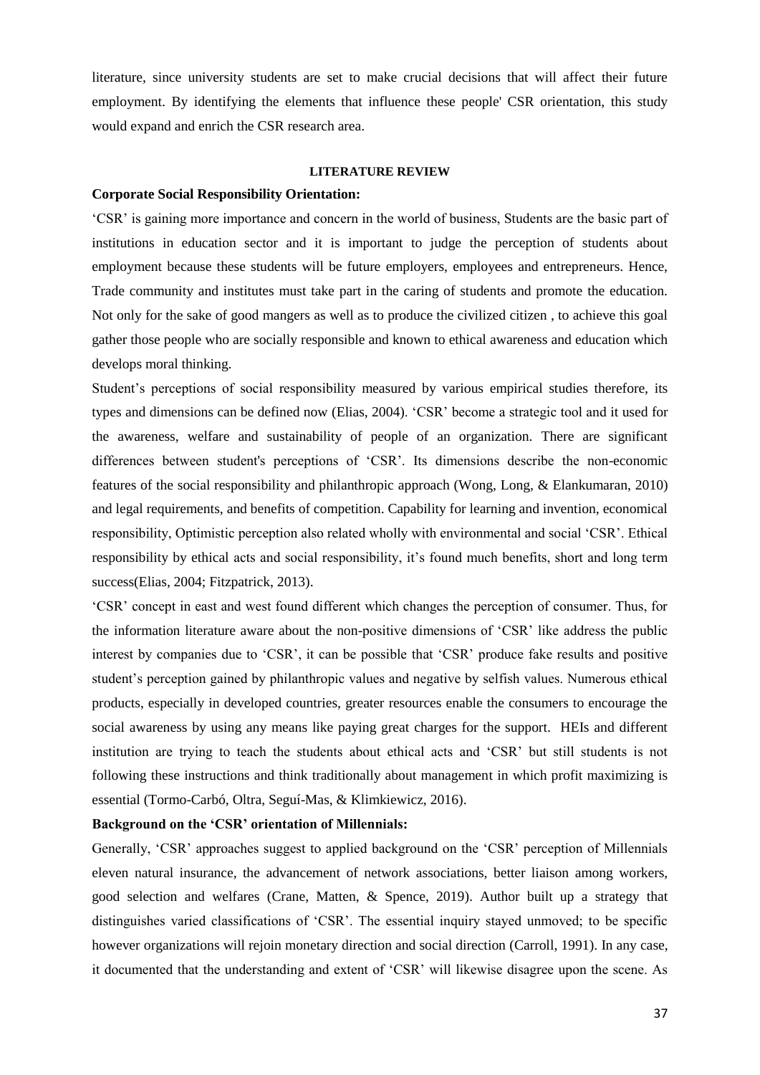literature, since university students are set to make crucial decisions that will affect their future employment. By identifying the elements that influence these people' CSR orientation, this study would expand and enrich the CSR research area.

#### **LITERATURE REVIEW**

#### **Corporate Social Responsibility Orientation:**

'CSR' is gaining more importance and concern in the world of business, Students are the basic part of institutions in education sector and it is important to judge the perception of students about employment because these students will be future employers, employees and entrepreneurs. Hence, Trade community and institutes must take part in the caring of students and promote the education. Not only for the sake of good mangers as well as to produce the civilized citizen , to achieve this goal gather those people who are socially responsible and known to ethical awareness and education which develops moral thinking.

Student's perceptions of social responsibility measured by various empirical studies therefore, its types and dimensions can be defined now [\(Elias, 2004\)](#page-16-5). 'CSR' become a strategic tool and it used for the awareness, welfare and sustainability of people of an organization. There are significant differences between student's perceptions of 'CSR'. Its dimensions describe the non-economic features of the social responsibility and philanthropic approach (Wong, Long, [& Elankumaran, 2010\)](#page-19-2) and legal requirements, and benefits of competition. Capability for learning and invention, economical responsibility, Optimistic perception also related wholly with environmental and social 'CSR'. Ethical responsibility by ethical acts and social responsibility, it's found much benefits, short and long term success[\(Elias, 2004;](#page-16-5) [Fitzpatrick, 2013\)](#page-17-3).

'CSR' concept in east and west found different which changes the perception of consumer. Thus, for the information literature aware about the non-positive dimensions of 'CSR' like address the public interest by companies due to 'CSR', it can be possible that 'CSR' produce fake results and positive student's perception gained by philanthropic values and negative by selfish values. Numerous ethical products, especially in developed countries, greater resources enable the consumers to encourage the social awareness by using any means like paying great charges for the support. HEIs and different institution are trying to teach the students about ethical acts and 'CSR' but still students is not following these instructions and think traditionally about management in which profit maximizing is essential [\(Tormo-Carbó, Oltra, Seguí-Mas, & Klimkiewicz, 2016\)](#page-19-3).

## **Background on the 'CSR' orientation of Millennials:**

Generally, 'CSR' approaches suggest to applied background on the 'CSR' perception of Millennials eleven natural insurance, the advancement of network associations, better liaison among workers, good selection and welfares [\(Crane, Matten, & Spence, 2019\)](#page-16-6). Author built up a strategy that distinguishes varied classifications of 'CSR'. The essential inquiry stayed unmoved; to be specific however organizations will rejoin monetary direction and social direction [\(Carroll, 1991\)](#page-16-7). In any case, it documented that the understanding and extent of 'CSR' will likewise disagree upon the scene. As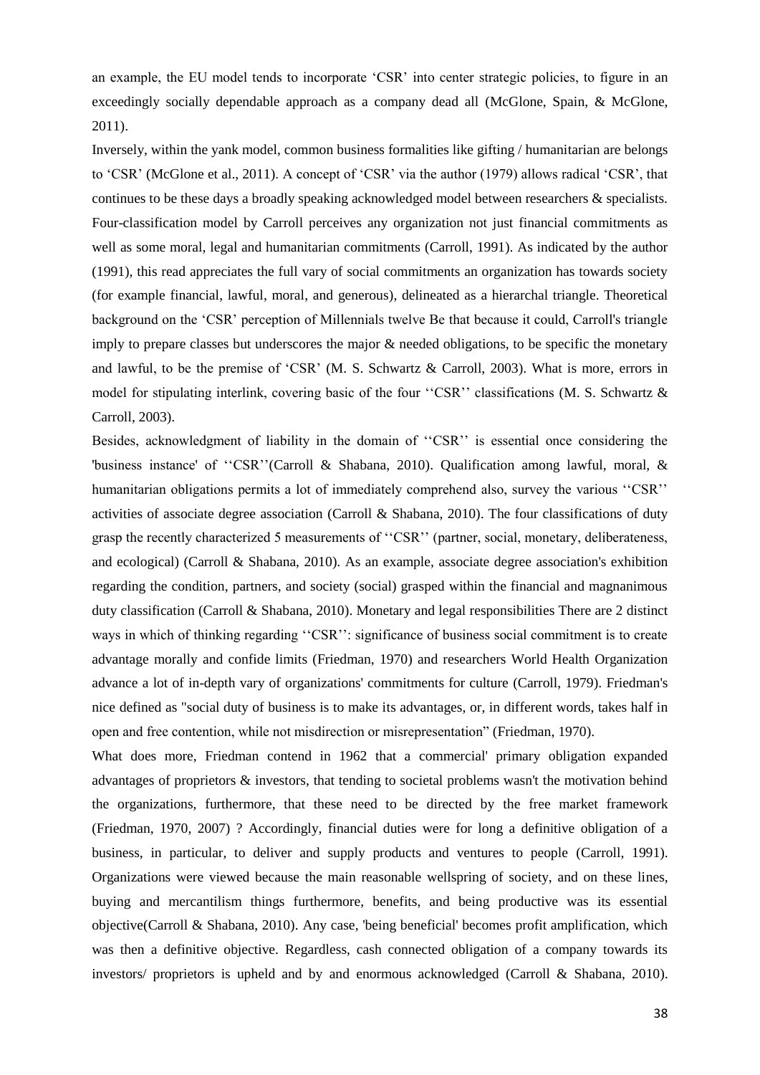an example, the EU model tends to incorporate 'CSR' into center strategic policies, to figure in an exceedingly socially dependable approach as a company dead all [\(McGlone, Spain, & McGlone,](#page-18-2)  [2011\)](#page-18-2).

Inversely, within the yank model, common business formalities like gifting / humanitarian are belongs to 'CSR' [\(McGlone et al., 2011\)](#page-18-2). A concept of 'CSR' via the author (1979) allows radical 'CSR', that continues to be these days a broadly speaking acknowledged model between researchers & specialists. Four-classification model by Carroll perceives any organization not just financial commitments as well as some moral, legal and humanitarian commitments [\(Carroll, 1991\)](#page-16-7). As indicated by the author (1991), this read appreciates the full vary of social commitments an organization has towards society (for example financial, lawful, moral, and generous), delineated as a hierarchal triangle. Theoretical background on the 'CSR' perception of Millennials twelve Be that because it could, Carroll's triangle imply to prepare classes but underscores the major  $\&$  needed obligations, to be specific the monetary and lawful, to be the premise of 'CSR' [\(M. S. Schwartz & Carroll, 2003\)](#page-18-3). What is more, errors in model for stipulating interlink, covering basic of the four "CSR" classifications (M. S. Schwartz & [Carroll, 2003\)](#page-18-3).

Besides, acknowledgment of liability in the domain of ''CSR'' is essential once considering the 'business instance' of ''CSR''[\(Carroll & Shabana, 2010\)](#page-16-8). Qualification among lawful, moral, & humanitarian obligations permits a lot of immediately comprehend also, survey the various ''CSR'' activities of associate degree association [\(Carroll & Shabana, 2010\)](#page-16-8). The four classifications of duty grasp the recently characterized 5 measurements of ''CSR'' (partner, social, monetary, deliberateness, and ecological) [\(Carroll & Shabana, 2010\)](#page-16-8). As an example, associate degree association's exhibition regarding the condition, partners, and society (social) grasped within the financial and magnanimous duty classification [\(Carroll & Shabana, 2010\)](#page-16-8). Monetary and legal responsibilities There are 2 distinct ways in which of thinking regarding ''CSR'': significance of business social commitment is to create advantage morally and confide limits [\(Friedman, 1970\)](#page-17-4) and researchers World Health Organization advance a lot of in-depth vary of organizations' commitments for culture [\(Carroll, 1979\)](#page-16-9). Friedman's nice defined as "social duty of business is to make its advantages, or, in different words, takes half in open and free contention, while not misdirection or misrepresentation" [\(Friedman, 1970\)](#page-17-4).

What does more, Friedman contend in 1962 that a commercial' primary obligation expanded advantages of proprietors & investors, that tending to societal problems wasn't the motivation behind the organizations, furthermore, that these need to be directed by the free market framework [\(Friedman, 1970,](#page-17-4) [2007\)](#page-17-5) ? Accordingly, financial duties were for long a definitive obligation of a business, in particular, to deliver and supply products and ventures to people [\(Carroll, 1991\)](#page-16-7). Organizations were viewed because the main reasonable wellspring of society, and on these lines, buying and mercantilism things furthermore, benefits, and being productive was its essential objective[\(Carroll & Shabana, 2010\)](#page-16-8). Any case, 'being beneficial' becomes profit amplification, which was then a definitive objective. Regardless, cash connected obligation of a company towards its investors/ proprietors is upheld and by and enormous acknowledged [\(Carroll & Shabana, 2010\)](#page-16-8).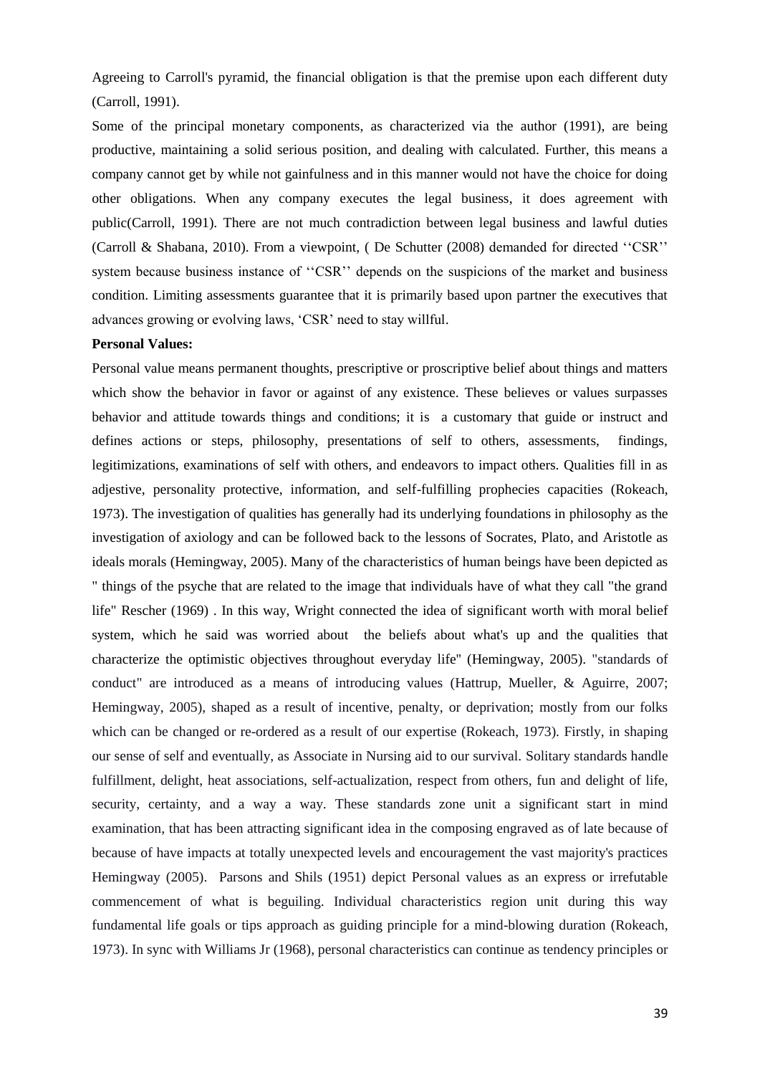Agreeing to Carroll's pyramid, the financial obligation is that the premise upon each different duty [\(Carroll, 1991\)](#page-16-7).

Some of the principal monetary components, as characterized via the author (1991), are being productive, maintaining a solid serious position, and dealing with calculated. Further, this means a company cannot get by while not gainfulness and in this manner would not have the choice for doing other obligations. When any company executes the legal business, it does agreement with public[\(Carroll, 1991\)](#page-16-7). There are not much contradiction between legal business and lawful duties [\(Carroll & Shabana, 2010\)](#page-16-8). From a viewpoint, ( [De Schutter \(2008\)](#page-16-10) demanded for directed ''CSR'' system because business instance of ''CSR'' depends on the suspicions of the market and business condition. Limiting assessments guarantee that it is primarily based upon partner the executives that advances growing or evolving laws, 'CSR' need to stay willful.

#### **Personal Values:**

Personal value means permanent thoughts, prescriptive or proscriptive belief about things and matters which show the behavior in favor or against of any existence. These believes or values surpasses behavior and attitude towards things and conditions; it is a customary that guide or instruct and defines actions or steps, philosophy, presentations of self to others, assessments, findings, legitimizations, examinations of self with others, and endeavors to impact others. Qualities fill in as adjestive, personality protective, information, and self-fulfilling prophecies capacities [\(Rokeach,](#page-18-4)  [1973\)](#page-18-4). The investigation of qualities has generally had its underlying foundations in philosophy as the investigation of axiology and can be followed back to the lessons of Socrates, Plato, and Aristotle as ideals morals [\(Hemingway, 2005\)](#page-17-6). Many of the characteristics of human beings have been depicted as " things of the psyche that are related to the image that individuals have of what they call "the grand life" [Rescher \(1969\)](#page-18-5) . In this way, Wright connected the idea of significant worth with moral belief system, which he said was worried about the beliefs about what's up and the qualities that characterize the optimistic objectives throughout everyday life'' [\(Hemingway, 2005\)](#page-17-6). "standards of conduct" are introduced as a means of introducing values [\(Hattrup, Mueller, & Aguirre, 2007;](#page-17-7) [Hemingway, 2005\)](#page-17-6), shaped as a result of incentive, penalty, or deprivation; mostly from our folks which can be changed or re-ordered as a result of our expertise [\(Rokeach, 1973\)](#page-18-4). Firstly, in shaping our sense of self and eventually, as Associate in Nursing aid to our survival. Solitary standards handle fulfillment, delight, heat associations, self-actualization, respect from others, fun and delight of life, security, certainty, and a way a way. These standards zone unit a significant start in mind examination, that has been attracting significant idea in the composing engraved as of late because of because of have impacts at totally unexpected levels and encouragement the vast majority's practices [Hemingway \(2005\)](#page-17-6). [Parsons and Shils \(1951\)](#page-18-6) depict Personal values as an express or irrefutable commencement of what is beguiling. Individual characteristics region unit during this way fundamental life goals or tips approach as guiding principle for a mind-blowing duration [\(Rokeach,](#page-18-4)  [1973\)](#page-18-4). In sync with [Williams Jr \(1968\)](#page-19-4), personal characteristics can continue as tendency principles or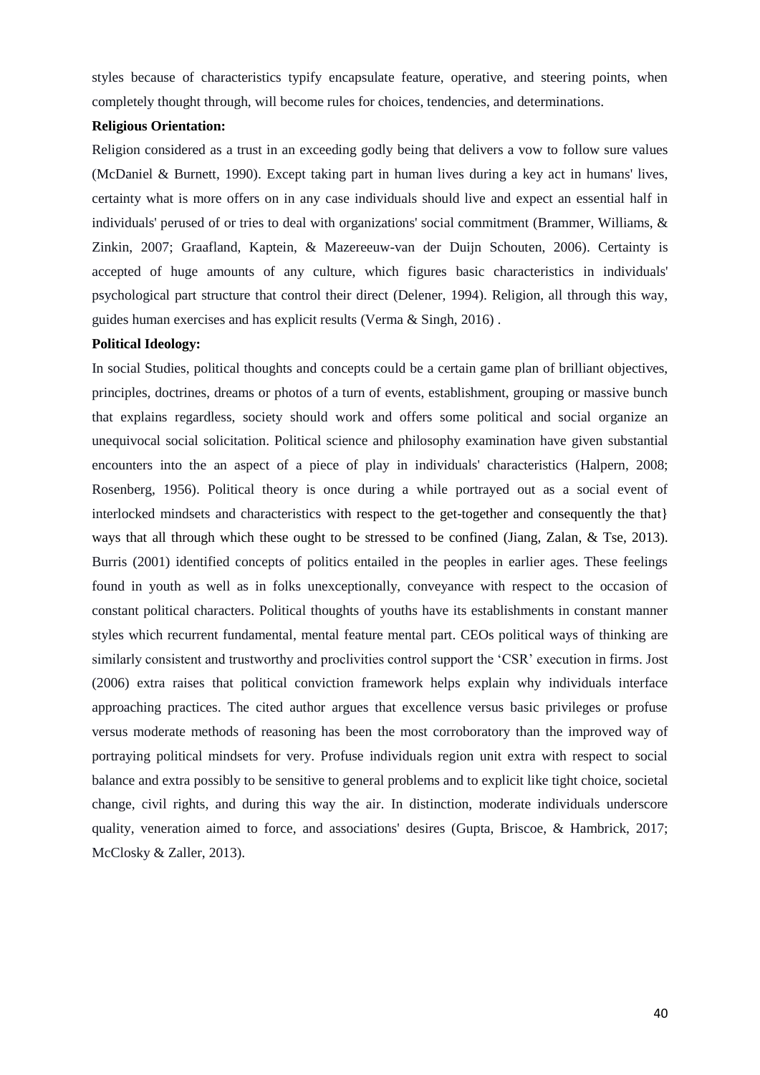styles because of characteristics typify encapsulate feature, operative, and steering points, when completely thought through, will become rules for choices, tendencies, and determinations.

## **Religious Orientation:**

Religion considered as a trust in an exceeding godly being that delivers a vow to follow sure values [\(McDaniel & Burnett, 1990\)](#page-17-8). Except taking part in human lives during a key act in humans' lives, certainty what is more offers on in any case individuals should live and expect an essential half in individuals' perused of or tries to deal with organizations' social commitment [\(Brammer, Williams, &](#page-15-2)  [Zinkin, 2007;](#page-15-2) [Graafland, Kaptein, & Mazereeuw-van der Duijn Schouten, 2006\)](#page-17-9). Certainty is accepted of huge amounts of any culture, which figures basic characteristics in individuals' psychological part structure that control their direct [\(Delener, 1994\)](#page-16-11). Religion, all through this way, guides human exercises and has explicit results [\(Verma & Singh, 2016\)](#page-19-5) .

## **Political Ideology:**

In social Studies, political thoughts and concepts could be a certain game plan of brilliant objectives, principles, doctrines, dreams or photos of a turn of events, establishment, grouping or massive bunch that explains regardless, society should work and offers some political and social organize an unequivocal social solicitation. Political science and philosophy examination have given substantial encounters into the an aspect of a piece of play in individuals' characteristics [\(Halpern, 2008;](#page-17-10) [Rosenberg, 1956\)](#page-18-7). Political theory is once during a while portrayed out as a social event of interlocked mindsets and characteristics with respect to the get-together and consequently the that} ways that all through which these ought to be stressed to be confined [\(Jiang, Zalan, & Tse, 2013\)](#page-17-11). [Burris \(2001\)](#page-16-12) identified concepts of politics entailed in the peoples in earlier ages. These feelings found in youth as well as in folks unexceptionally, conveyance with respect to the occasion of constant political characters. Political thoughts of youths have its establishments in constant manner styles which recurrent fundamental, mental feature mental part. CEOs political ways of thinking are similarly consistent and trustworthy and proclivities control support the 'CSR' execution in firms. Jost (2006) extra raises that political conviction framework helps explain why individuals interface approaching practices. The cited author argues that excellence versus basic privileges or profuse versus moderate methods of reasoning has been the most corroboratory than the improved way of portraying political mindsets for very. Profuse individuals region unit extra with respect to social balance and extra possibly to be sensitive to general problems and to explicit like tight choice, societal change, civil rights, and during this way the air. In distinction, moderate individuals underscore quality, veneration aimed to force, and associations' desires [\(Gupta, Briscoe, & Hambrick, 2017;](#page-17-12) [McClosky & Zaller, 2013\)](#page-17-13).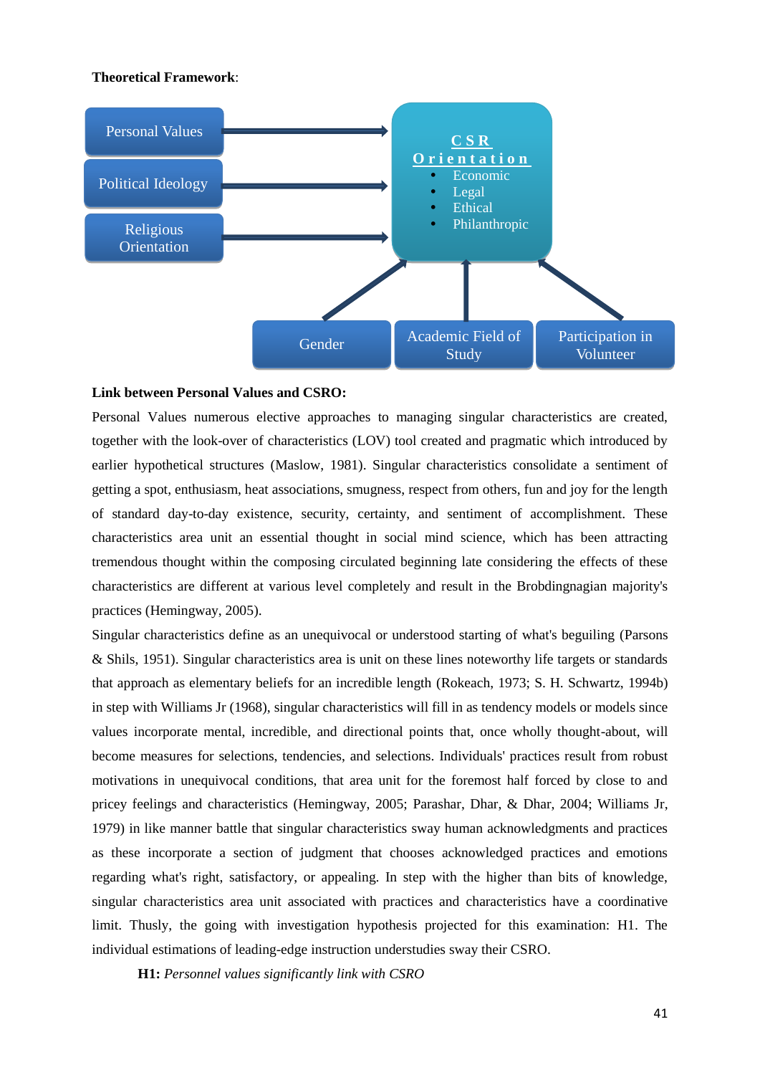#### **Theoretical Framework**:



#### **Link between Personal Values and CSRO:**

Personal Values numerous elective approaches to managing singular characteristics are created, together with the look-over of characteristics (LOV) tool created and pragmatic which introduced by earlier hypothetical structures [\(Maslow, 1981\)](#page-17-14). Singular characteristics consolidate a sentiment of getting a spot, enthusiasm, heat associations, smugness, respect from others, fun and joy for the length of standard day-to-day existence, security, certainty, and sentiment of accomplishment. These characteristics area unit an essential thought in social mind science, which has been attracting tremendous thought within the composing circulated beginning late considering the effects of these characteristics are different at various level completely and result in the Brobdingnagian majority's practices [\(Hemingway, 2005\)](#page-17-6).

Singular characteristics define as an unequivocal or understood starting of what's beguiling [\(Parsons](#page-18-6)  [& Shils, 1951\)](#page-18-6). Singular characteristics area is unit on these lines noteworthy life targets or standards that approach as elementary beliefs for an incredible length [\(Rokeach, 1973;](#page-18-4) [S. H. Schwartz, 1994b\)](#page-18-8) in step with [Williams Jr \(1968\)](#page-19-4), singular characteristics will fill in as tendency models or models since values incorporate mental, incredible, and directional points that, once wholly thought-about, will become measures for selections, tendencies, and selections. Individuals' practices result from robust motivations in unequivocal conditions, that area unit for the foremost half forced by close to and pricey feelings and characteristics [\(Hemingway, 2005;](#page-17-6) [Parashar, Dhar, & Dhar, 2004;](#page-18-9) [Williams Jr,](#page-19-6)  [1979\)](#page-19-6) in like manner battle that singular characteristics sway human acknowledgments and practices as these incorporate a section of judgment that chooses acknowledged practices and emotions regarding what's right, satisfactory, or appealing. In step with the higher than bits of knowledge, singular characteristics area unit associated with practices and characteristics have a coordinative limit. Thusly, the going with investigation hypothesis projected for this examination: H1. The individual estimations of leading-edge instruction understudies sway their CSRO.

**H1:** *Personnel values significantly link with CSRO*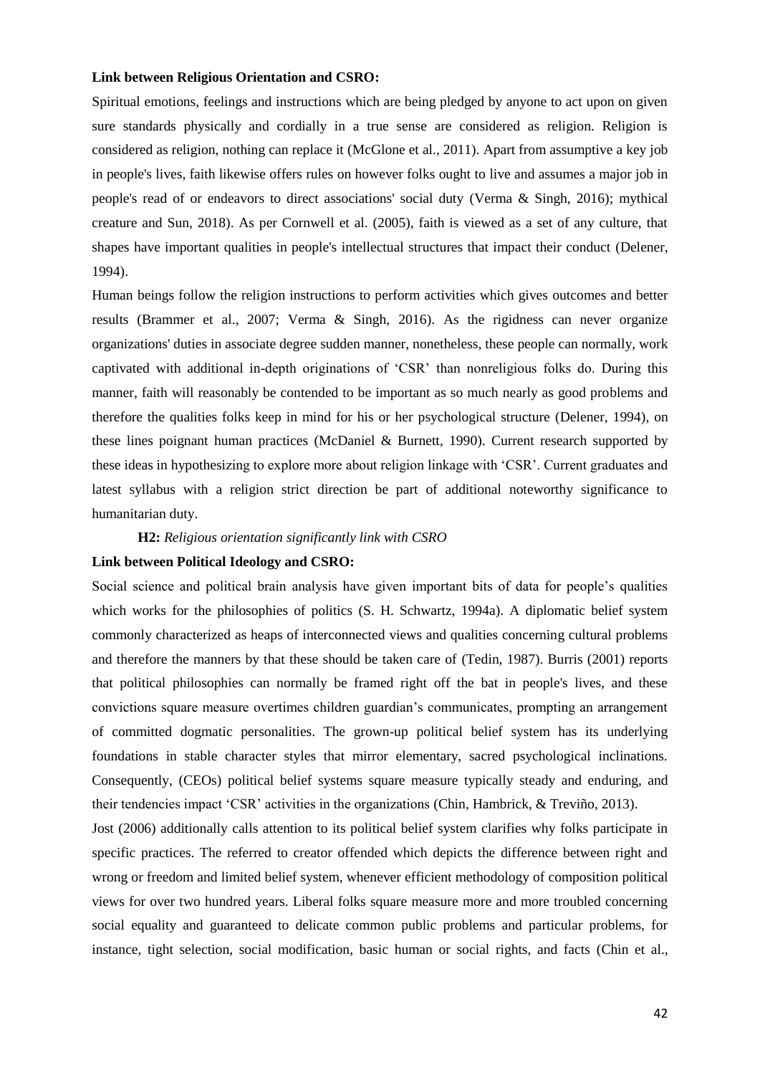# **Link between Religious Orientation and CSRO:**

Spiritual emotions, feelings and instructions which are being pledged by anyone to act upon on given sure standards physically and cordially in a true sense are considered as religion. Religion is considered as religion, nothing can replace it [\(McGlone et al., 2011\)](#page-18-2). Apart from assumptive a key job in people's lives, faith likewise offers rules on however folks ought to live and assumes a major job in people's read of or endeavors to direct associations' social duty [\(Verma & Singh, 2016\)](#page-19-5); mythical creature and Sun, 2018). As per Cornwell et al. (2005), faith is viewed as a set of any culture, that shapes have important qualities in people's intellectual structures that impact their conduct [\(Delener,](#page-16-11)  [1994\)](#page-16-11).

Human beings follow the religion instructions to perform activities which gives outcomes and better results [\(Brammer et al., 2007;](#page-15-2) [Verma & Singh, 2016\)](#page-19-5). As the rigidness can never organize organizations' duties in associate degree sudden manner, nonetheless, these people can normally, work captivated with additional in-depth originations of 'CSR' than nonreligious folks do. During this manner, faith will reasonably be contended to be important as so much nearly as good problems and therefore the qualities folks keep in mind for his or her psychological structure [\(Delener, 1994\)](#page-16-11), on these lines poignant human practices [\(McDaniel & Burnett, 1990\)](#page-17-8). Current research supported by these ideas in hypothesizing to explore more about religion linkage with 'CSR'. Current graduates and latest syllabus with a religion strict direction be part of additional noteworthy significance to humanitarian duty.

#### **H2:** *Religious orientation significantly link with CSRO*

#### **Link between Political Ideology and CSRO:**

Social science and political brain analysis have given important bits of data for people's qualities which works for the philosophies of politics [\(S. H. Schwartz, 1994a\)](#page-18-10). A diplomatic belief system commonly characterized as heaps of interconnected views and qualities concerning cultural problems and therefore the manners by that these should be taken care of [\(Tedin, 1987\)](#page-18-11). Burris (2001) reports that political philosophies can normally be framed right off the bat in people's lives, and these convictions square measure overtimes children guardian's communicates, prompting an arrangement of committed dogmatic personalities. The grown-up political belief system has its underlying foundations in stable character styles that mirror elementary, sacred psychological inclinations. Consequently, (CEOs) political belief systems square measure typically steady and enduring, and their tendencies impact 'CSR' activities in the organizations [\(Chin, Hambrick, & Treviño, 2013\)](#page-16-13).

Jost (2006) additionally calls attention to its political belief system clarifies why folks participate in specific practices. The referred to creator offended which depicts the difference between right and wrong or freedom and limited belief system, whenever efficient methodology of composition political views for over two hundred years. Liberal folks square measure more and more troubled concerning social equality and guaranteed to delicate common public problems and particular problems, for instance, tight selection, social modification, basic human or social rights, and facts [\(Chin et al.,](#page-16-13)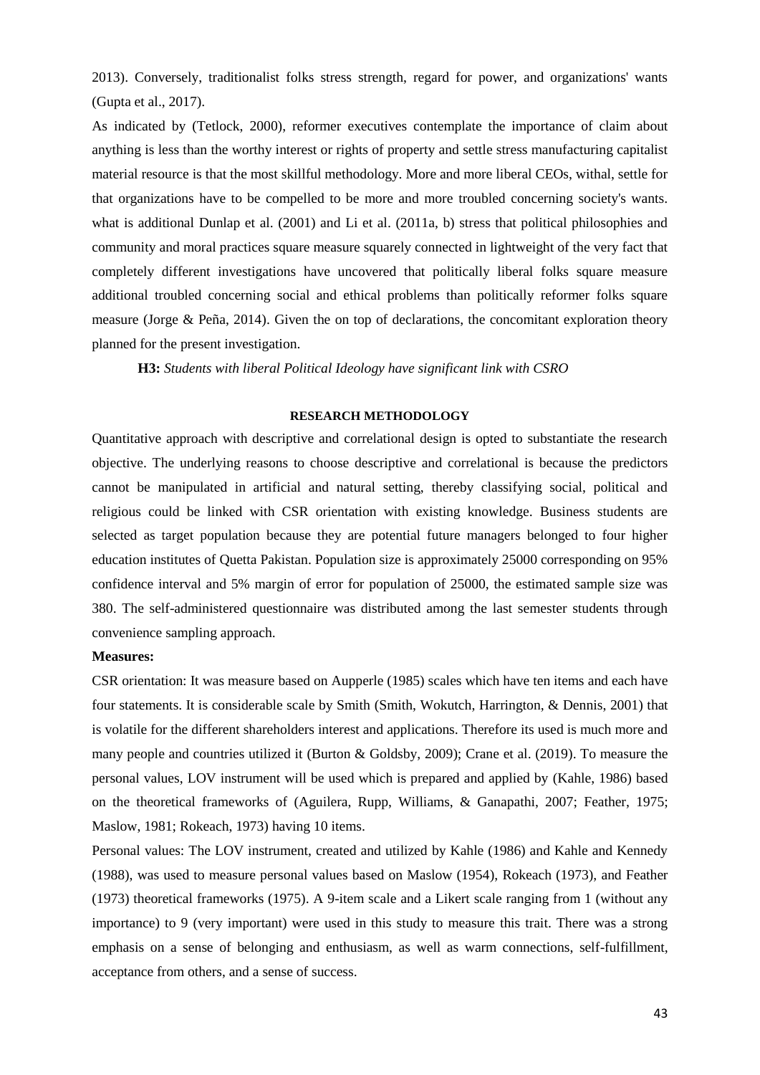[2013\)](#page-16-13). Conversely, traditionalist folks stress strength, regard for power, and organizations' wants [\(Gupta et al., 2017\)](#page-17-12).

As indicated by [\(Tetlock, 2000\)](#page-19-7), reformer executives contemplate the importance of claim about anything is less than the worthy interest or rights of property and settle stress manufacturing capitalist material resource is that the most skillful methodology. More and more liberal CEOs, withal, settle for that organizations have to be compelled to be more and more troubled concerning society's wants. what is additional Dunlap et al. (2001) and Li et al. (2011a, b) stress that political philosophies and community and moral practices square measure squarely connected in lightweight of the very fact that completely different investigations have uncovered that politically liberal folks square measure additional troubled concerning social and ethical problems than politically reformer folks square measure [\(Jorge & Peña, 2014\)](#page-17-15). Given the on top of declarations, the concomitant exploration theory planned for the present investigation.

**H3:** *Students with liberal Political Ideology have significant link with CSRO*

#### **RESEARCH METHODOLOGY**

Quantitative approach with descriptive and correlational design is opted to substantiate the research objective. The underlying reasons to choose descriptive and correlational is because the predictors cannot be manipulated in artificial and natural setting, thereby classifying social, political and religious could be linked with CSR orientation with existing knowledge. Business students are selected as target population because they are potential future managers belonged to four higher education institutes of Quetta Pakistan. Population size is approximately 25000 corresponding on 95% confidence interval and 5% margin of error for population of 25000, the estimated sample size was 380. The self-administered questionnaire was distributed among the last semester students through convenience sampling approach.

#### **Measures:**

CSR orientation: It was measure based on Aupperle (1985) scales which have ten items and each have four statements. It is considerable scale by Smith [\(Smith, Wokutch, Harrington, & Dennis, 2001\)](#page-18-12) that is volatile for the different shareholders interest and applications. Therefore its used is much more and many people and countries utilized it [\(Burton & Goldsby, 2009\)](#page-16-2); [Crane et al. \(2019\)](#page-16-6). To measure the personal values, LOV instrument will be used which is prepared and applied by [\(Kahle, 1986\)](#page-17-16) based on the theoretical frameworks of [\(Aguilera, Rupp, Williams, & Ganapathi, 2007;](#page-15-3) [Feather, 1975;](#page-16-14) [Maslow, 1981;](#page-17-14) [Rokeach, 1973\)](#page-18-4) having 10 items.

Personal values: The LOV instrument, created and utilized by Kahle (1986) and Kahle and Kennedy (1988), was used to measure personal values based on Maslow (1954), Rokeach (1973), and Feather (1973) theoretical frameworks (1975). A 9-item scale and a Likert scale ranging from 1 (without any importance) to 9 (very important) were used in this study to measure this trait. There was a strong emphasis on a sense of belonging and enthusiasm, as well as warm connections, self-fulfillment, acceptance from others, and a sense of success.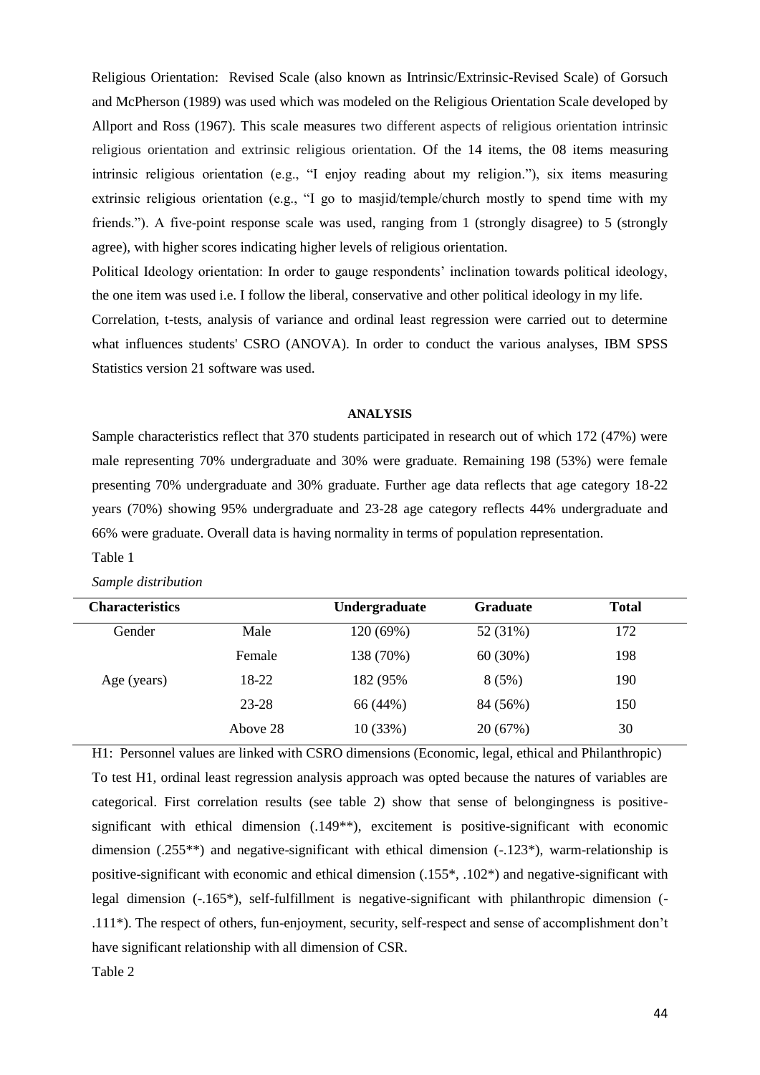Religious Orientation: Revised Scale (also known as Intrinsic/Extrinsic-Revised Scale) of Gorsuch and McPherson (1989) was used which was modeled on the Religious Orientation Scale developed by Allport and Ross (1967). This scale measures two different aspects of religious orientation intrinsic religious orientation and extrinsic religious orientation. Of the 14 items, the 08 items measuring intrinsic religious orientation (e.g., "I enjoy reading about my religion."), six items measuring extrinsic religious orientation (e.g., "I go to masjid/temple/church mostly to spend time with my friends."). A five-point response scale was used, ranging from 1 (strongly disagree) to 5 (strongly agree), with higher scores indicating higher levels of religious orientation.

Political Ideology orientation: In order to gauge respondents' inclination towards political ideology, the one item was used i.e. I follow the liberal, conservative and other political ideology in my life.

Correlation, t-tests, analysis of variance and ordinal least regression were carried out to determine what influences students' CSRO (ANOVA). In order to conduct the various analyses, IBM SPSS Statistics version 21 software was used.

# **ANALYSIS**

Sample characteristics reflect that 370 students participated in research out of which 172 (47%) were male representing 70% undergraduate and 30% were graduate. Remaining 198 (53%) were female presenting 70% undergraduate and 30% graduate. Further age data reflects that age category 18-22 years (70%) showing 95% undergraduate and 23-28 age category reflects 44% undergraduate and 66% were graduate. Overall data is having normality in terms of population representation. Table 1

| <b>Characteristics</b> |          | Undergraduate | <b>Graduate</b> | <b>Total</b> |
|------------------------|----------|---------------|-----------------|--------------|
| Gender                 | Male     | 120 (69%)     | 52 (31%)        | 172          |
|                        | Female   | 138 (70%)     | 60(30%)         | 198          |
| Age (years)            | 18-22    | 182 (95%)     | 8(5%)           | 190          |
|                        | 23-28    | 66 (44%)      | 84 (56%)        | 150          |
|                        | Above 28 | 10(33%)       | 20 (67%)        | 30           |

*Sample distribution* 

H1: Personnel values are linked with CSRO dimensions (Economic, legal, ethical and Philanthropic) To test H1, ordinal least regression analysis approach was opted because the natures of variables are categorical. First correlation results (see table 2) show that sense of belongingness is positivesignificant with ethical dimension (.149\*\*), excitement is positive-significant with economic dimension (.255\*\*) and negative-significant with ethical dimension (-.123\*), warm-relationship is positive-significant with economic and ethical dimension (.155\*, .102\*) and negative-significant with legal dimension (-.165\*), self-fulfillment is negative-significant with philanthropic dimension (- .111\*). The respect of others, fun-enjoyment, security, self-respect and sense of accomplishment don't have significant relationship with all dimension of CSR.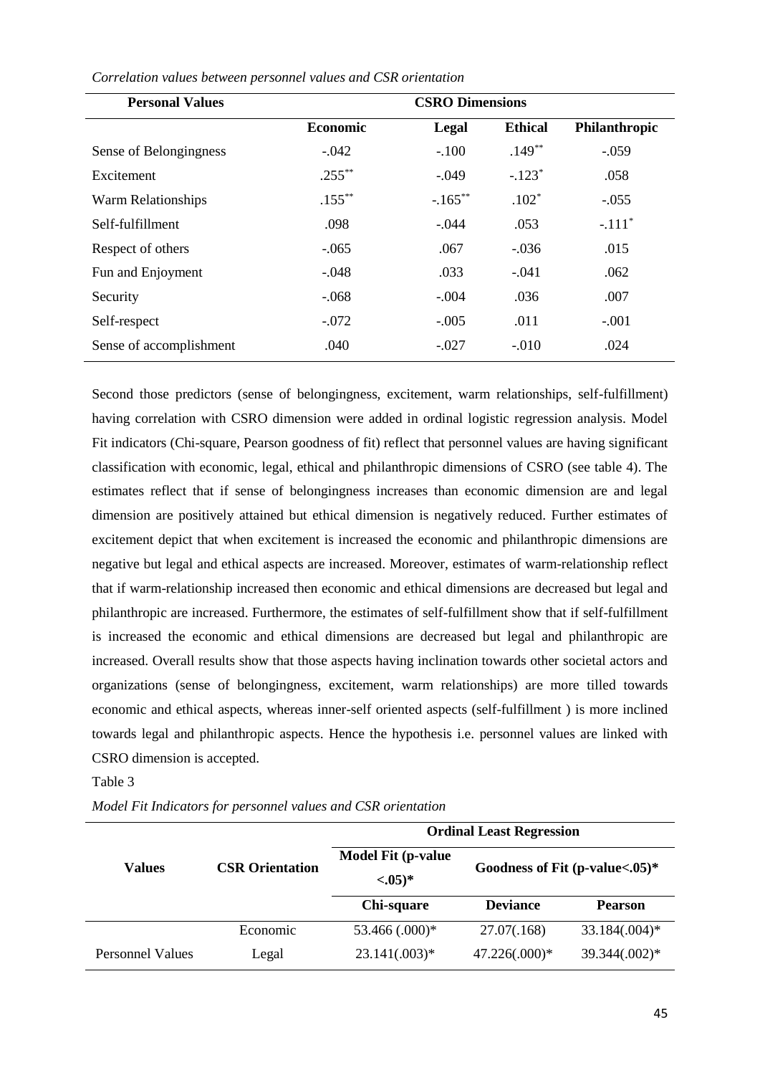| <b>Personal Values</b>  | <b>CSRO Dimensions</b> |            |                |               |
|-------------------------|------------------------|------------|----------------|---------------|
|                         | <b>Economic</b>        | Legal      | <b>Ethical</b> | Philanthropic |
| Sense of Belongingness  | $-.042$                | $-.100$    | $.149**$       | $-.059$       |
| Excitement              | $.255***$              | $-.049$    | $-.123*$       | .058          |
| Warm Relationships      | $.155***$              | $-.165***$ | $.102*$        | $-.055$       |
| Self-fulfillment        | .098                   | $-.044$    | .053           | $-.111*$      |
| Respect of others       | $-.065$                | .067       | $-.036$        | .015          |
| Fun and Enjoyment       | $-.048$                | .033       | $-.041$        | .062          |
| Security                | $-.068$                | $-.004$    | .036           | .007          |
| Self-respect            | $-.072$                | $-.005$    | .011           | $-.001$       |
| Sense of accomplishment | .040                   | $-.027$    | $-.010$        | .024          |

*Correlation values between personnel values and CSR orientation* 

Second those predictors (sense of belongingness, excitement, warm relationships, self-fulfillment) having correlation with CSRO dimension were added in ordinal logistic regression analysis. Model Fit indicators (Chi-square, Pearson goodness of fit) reflect that personnel values are having significant classification with economic, legal, ethical and philanthropic dimensions of CSRO (see table 4). The estimates reflect that if sense of belongingness increases than economic dimension are and legal dimension are positively attained but ethical dimension is negatively reduced. Further estimates of excitement depict that when excitement is increased the economic and philanthropic dimensions are negative but legal and ethical aspects are increased. Moreover, estimates of warm-relationship reflect that if warm-relationship increased then economic and ethical dimensions are decreased but legal and philanthropic are increased. Furthermore, the estimates of self-fulfillment show that if self-fulfillment is increased the economic and ethical dimensions are decreased but legal and philanthropic are increased. Overall results show that those aspects having inclination towards other societal actors and organizations (sense of belongingness, excitement, warm relationships) are more tilled towards economic and ethical aspects, whereas inner-self oriented aspects (self-fulfillment ) is more inclined towards legal and philanthropic aspects. Hence the hypothesis i.e. personnel values are linked with CSRO dimension is accepted.

# Table 3

*Model Fit Indicators for personnel values and CSR orientation* 

|                         |                        | <b>Ordinal Least Regression</b>                                                                               |               |                |  |
|-------------------------|------------------------|---------------------------------------------------------------------------------------------------------------|---------------|----------------|--|
| <b>Values</b>           | <b>CSR Orientation</b> | <b>Model Fit (p-value)</b><br>Goodness of Fit $(p-value<.05)^*$<br>$<0.05)*$<br><b>Deviance</b><br>Chi-square |               |                |  |
|                         |                        |                                                                                                               |               | <b>Pearson</b> |  |
|                         | Economic               | 53.466 (.000)*                                                                                                | 27.07(.168)   | 33.184(.004)*  |  |
| <b>Personnel Values</b> | Legal                  | $23.141(.003)*$                                                                                               | 47.226(.000)* | 39.344(.002)*  |  |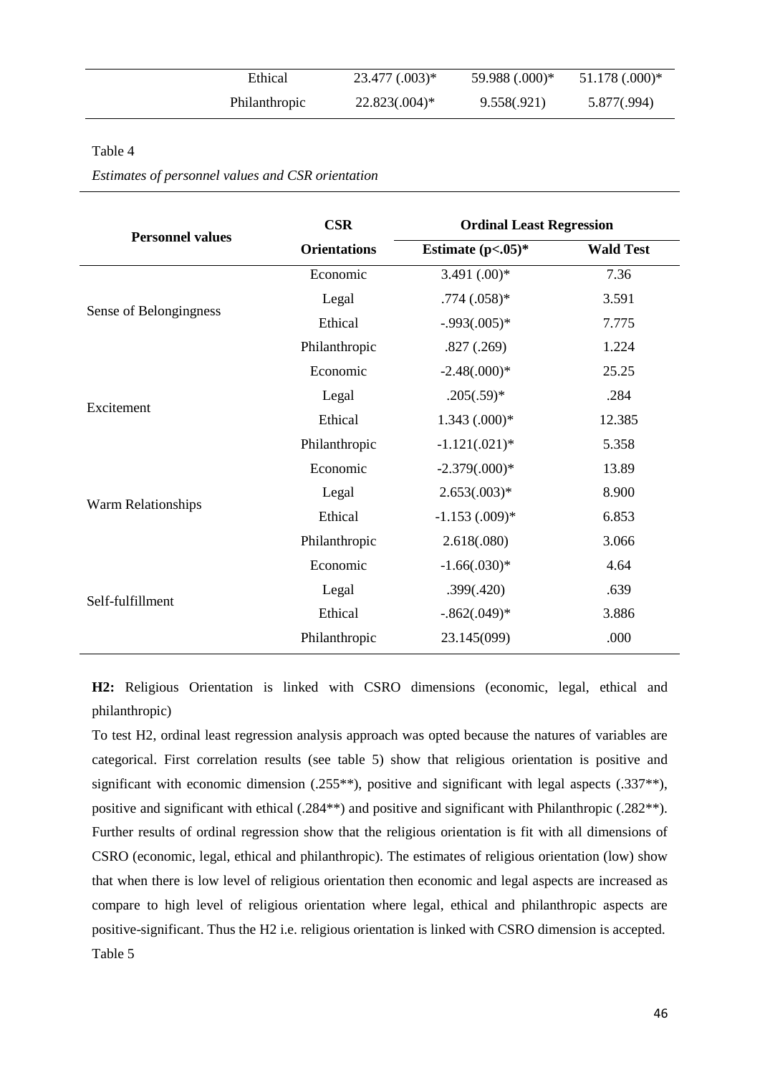| Ethical              | $23.477(.003)*$  | 59.988 (.000)* | $51.178(.000)*$ |
|----------------------|------------------|----------------|-----------------|
| <b>Philanthropic</b> | $22.823(.004)^*$ | 9.558(.921)    | 5.877(.994)     |

# Table 4

*Estimates of personnel values and CSR orientation* 

| <b>CSR</b>          | <b>Ordinal Least Regression</b> |                  |  |
|---------------------|---------------------------------|------------------|--|
| <b>Orientations</b> | Estimate $(p<.05)^*$            | <b>Wald Test</b> |  |
| Economic            | 3.491 $(.00)*$                  | 7.36             |  |
| Legal               | $.774(.058)*$                   | 3.591            |  |
| Ethical             | $-.993(.005)*$                  | 7.775            |  |
| Philanthropic       | .827(.269)                      | 1.224            |  |
| Economic            | $-2.48(.000)*$                  | 25.25            |  |
| Legal               | $.205(.59)*$                    | .284             |  |
| Ethical             | $1.343(000)*$                   | 12.385           |  |
| Philanthropic       | $-1.121(.021)$ *                | 5.358            |  |
| Economic            | $-2.379(.000)*$                 | 13.89            |  |
| Legal               | $2.653(.003)*$                  | 8.900            |  |
| Ethical             | $-1.153$ $(.009)*$              | 6.853            |  |
| Philanthropic       | 2.618(.080)                     | 3.066            |  |
| Economic            | $-1.66(.030)*$                  | 4.64             |  |
| Legal               | .399(.420)                      | .639             |  |
| Ethical             | $-.862(.049)*$                  | 3.886            |  |
| Philanthropic       | 23.145(099)                     | .000             |  |
|                     |                                 |                  |  |

**H2:** Religious Orientation is linked with CSRO dimensions (economic, legal, ethical and philanthropic)

To test H2, ordinal least regression analysis approach was opted because the natures of variables are categorical. First correlation results (see table 5) show that religious orientation is positive and significant with economic dimension (.255<sup>\*\*</sup>), positive and significant with legal aspects (.337<sup>\*\*</sup>), positive and significant with ethical (.284\*\*) and positive and significant with Philanthropic (.282\*\*). Further results of ordinal regression show that the religious orientation is fit with all dimensions of CSRO (economic, legal, ethical and philanthropic). The estimates of religious orientation (low) show that when there is low level of religious orientation then economic and legal aspects are increased as compare to high level of religious orientation where legal, ethical and philanthropic aspects are positive-significant. Thus the H2 i.e. religious orientation is linked with CSRO dimension is accepted. Table 5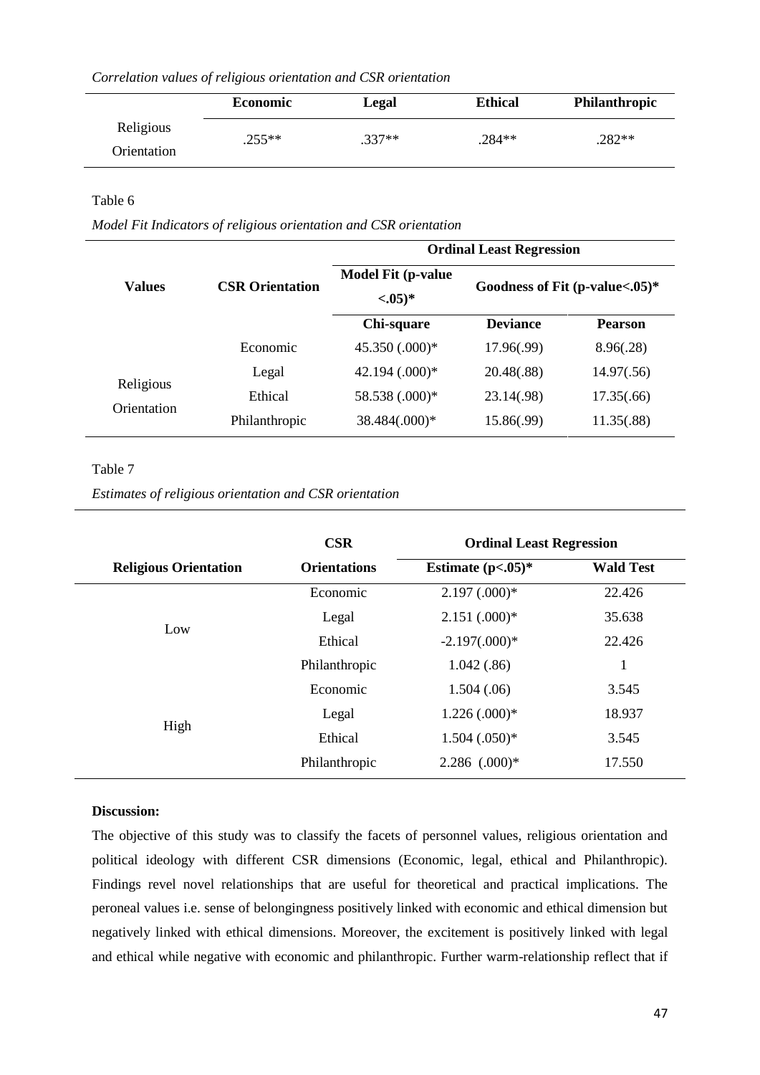|  |  |  | Correlation values of religious orientation and CSR orientation |  |  |
|--|--|--|-----------------------------------------------------------------|--|--|
|--|--|--|-----------------------------------------------------------------|--|--|

|                          | <b>Economic</b> | Legal    | <b>Ethical</b> | <b>Philanthropic</b> |
|--------------------------|-----------------|----------|----------------|----------------------|
| Religious<br>Orientation | $.255**$        | $.337**$ | $.284**$       | .282**               |

# Table 6

*Model Fit Indicators of religious orientation and CSR orientation*

|                          |                        | <b>Ordinal Least Regression</b>         |                                   |                |  |
|--------------------------|------------------------|-----------------------------------------|-----------------------------------|----------------|--|
| <b>Values</b>            | <b>CSR Orientation</b> | <b>Model Fit (p-value)</b><br>$<0.05)*$ | Goodness of Fit $(p-value<.05)$ * |                |  |
|                          |                        | Chi-square                              | <b>Deviance</b>                   | <b>Pearson</b> |  |
|                          | Economic               | 45.350 (.000)*                          | 17.96(.99)                        | 8.96(.28)      |  |
| Religious<br>Orientation | Legal                  | $42.194 \ (0.000)*$                     | 20.48(.88)                        | 14.97(.56)     |  |
|                          | Ethical                | 58.538 (.000)*                          | 23.14(.98)                        | 17.35(.66)     |  |
|                          | Philanthropic          | 38.484(.000)*                           | 15.86(.99)                        | 11.35(.88)     |  |

# Table 7

*Estimates of religious orientation and CSR orientation* 

|                              | <b>CSR</b>          | <b>Ordinal Least Regression</b> |                  |  |
|------------------------------|---------------------|---------------------------------|------------------|--|
| <b>Religious Orientation</b> | <b>Orientations</b> | Estimate $(p<.05)^*$            | <b>Wald Test</b> |  |
|                              | Economic            | $2.197(0.00)*$                  | 22.426           |  |
| Low                          | Legal               | $2.151(.000)*$                  | 35.638           |  |
|                              | Ethical             | $-2.197(.000)*$                 | 22.426           |  |
|                              | Philanthropic       | 1.042(.86)                      |                  |  |
|                              | Economic            | 1.504(.06)                      | 3.545            |  |
|                              | Legal               | $1.226(0.000)*$                 | 18.937           |  |
| High                         | Ethical             | $1.504(.050)*$                  | 3.545            |  |
|                              | Philanthropic       | $2.286$ $(.000)*$               | 17.550           |  |

# **Discussion:**

The objective of this study was to classify the facets of personnel values, religious orientation and political ideology with different CSR dimensions (Economic, legal, ethical and Philanthropic). Findings revel novel relationships that are useful for theoretical and practical implications. The peroneal values i.e. sense of belongingness positively linked with economic and ethical dimension but negatively linked with ethical dimensions. Moreover, the excitement is positively linked with legal and ethical while negative with economic and philanthropic. Further warm-relationship reflect that if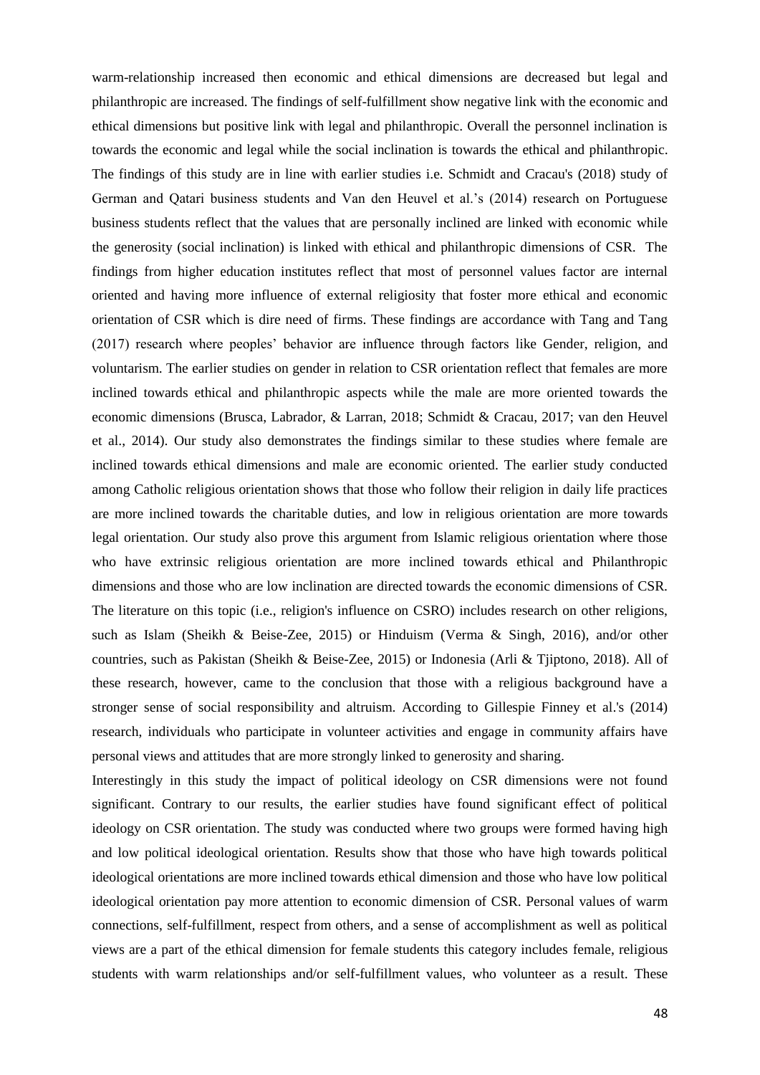warm-relationship increased then economic and ethical dimensions are decreased but legal and philanthropic are increased. The findings of self-fulfillment show negative link with the economic and ethical dimensions but positive link with legal and philanthropic. Overall the personnel inclination is towards the economic and legal while the social inclination is towards the ethical and philanthropic. The findings of this study are in line with earlier studies i.e. Schmidt and Cracau's (2018) study of German and Qatari business students and Van den Heuvel et al.'s (2014) research on Portuguese business students reflect that the values that are personally inclined are linked with economic while the generosity (social inclination) is linked with ethical and philanthropic dimensions of CSR. The findings from higher education institutes reflect that most of personnel values factor are internal oriented and having more influence of external religiosity that foster more ethical and economic orientation of CSR which is dire need of firms. These findings are accordance with Tang and Tang (2017) research where peoples' behavior are influence through factors like Gender, religion, and voluntarism. The earlier studies on gender in relation to CSR orientation reflect that females are more inclined towards ethical and philanthropic aspects while the male are more oriented towards the economic dimensions [\(Brusca, Labrador, & Larran, 2018;](#page-16-15) [Schmidt & Cracau, 2017;](#page-18-13) [van den Heuvel](#page-19-1)  [et al., 2014\)](#page-19-1). Our study also demonstrates the findings similar to these studies where female are inclined towards ethical dimensions and male are economic oriented. The earlier study conducted among Catholic religious orientation shows that those who follow their religion in daily life practices are more inclined towards the charitable duties, and low in religious orientation are more towards legal orientation. Our study also prove this argument from Islamic religious orientation where those who have extrinsic religious orientation are more inclined towards ethical and Philanthropic dimensions and those who are low inclination are directed towards the economic dimensions of CSR. The literature on this topic (i.e., religion's influence on CSRO) includes research on other religions, such as Islam [\(Sheikh & Beise-Zee, 2015\)](#page-18-14) or Hinduism [\(Verma & Singh, 2016\)](#page-19-5), and/or other countries, such as Pakistan [\(Sheikh & Beise-Zee, 2015\)](#page-18-14) or Indonesia [\(Arli & Tjiptono, 2018\)](#page-15-4). All of these research, however, came to the conclusion that those with a religious background have a stronger sense of social responsibility and altruism. According to Gillespie Finney et al.'s (2014) research, individuals who participate in volunteer activities and engage in community affairs have personal views and attitudes that are more strongly linked to generosity and sharing.

Interestingly in this study the impact of political ideology on CSR dimensions were not found significant. Contrary to our results, the earlier studies have found significant effect of political ideology on CSR orientation. The study was conducted where two groups were formed having high and low political ideological orientation. Results show that those who have high towards political ideological orientations are more inclined towards ethical dimension and those who have low political ideological orientation pay more attention to economic dimension of CSR. Personal values of warm connections, self-fulfillment, respect from others, and a sense of accomplishment as well as political views are a part of the ethical dimension for female students this category includes female, religious students with warm relationships and/or self-fulfillment values, who volunteer as a result. These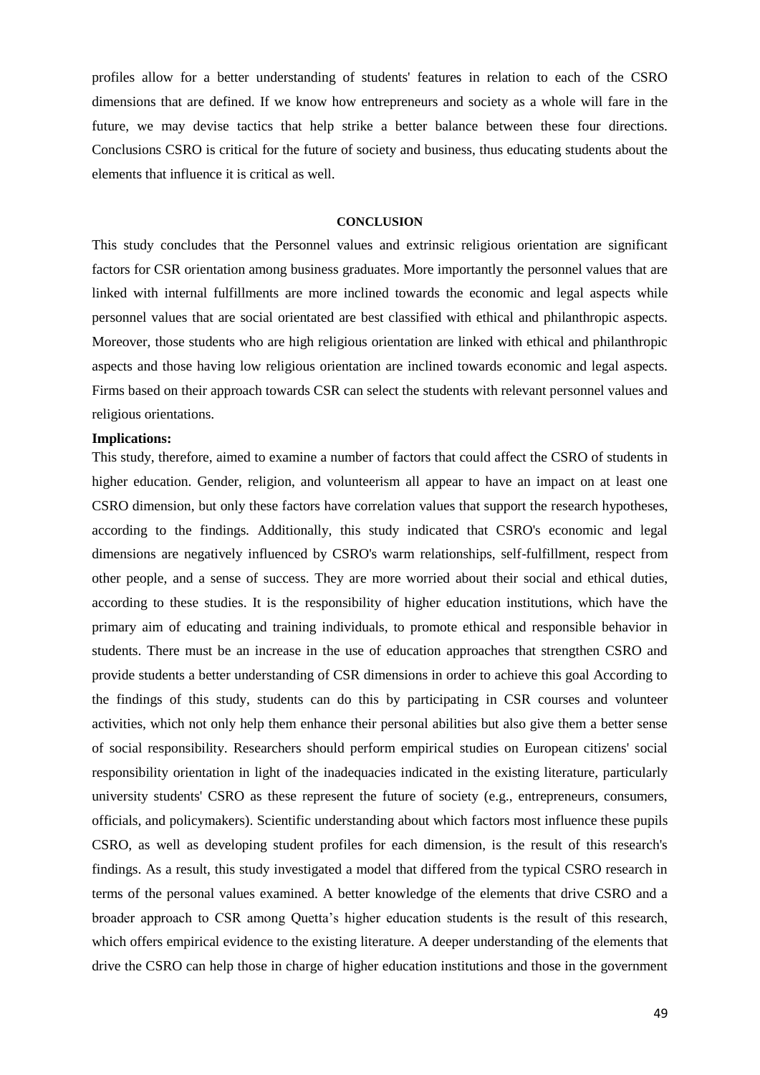profiles allow for a better understanding of students' features in relation to each of the CSRO dimensions that are defined. If we know how entrepreneurs and society as a whole will fare in the future, we may devise tactics that help strike a better balance between these four directions. Conclusions CSRO is critical for the future of society and business, thus educating students about the elements that influence it is critical as well.

#### **CONCLUSION**

This study concludes that the Personnel values and extrinsic religious orientation are significant factors for CSR orientation among business graduates. More importantly the personnel values that are linked with internal fulfillments are more inclined towards the economic and legal aspects while personnel values that are social orientated are best classified with ethical and philanthropic aspects. Moreover, those students who are high religious orientation are linked with ethical and philanthropic aspects and those having low religious orientation are inclined towards economic and legal aspects. Firms based on their approach towards CSR can select the students with relevant personnel values and religious orientations.

#### **Implications:**

This study, therefore, aimed to examine a number of factors that could affect the CSRO of students in higher education. Gender, religion, and volunteerism all appear to have an impact on at least one CSRO dimension, but only these factors have correlation values that support the research hypotheses, according to the findings. Additionally, this study indicated that CSRO's economic and legal dimensions are negatively influenced by CSRO's warm relationships, self-fulfillment, respect from other people, and a sense of success. They are more worried about their social and ethical duties, according to these studies. It is the responsibility of higher education institutions, which have the primary aim of educating and training individuals, to promote ethical and responsible behavior in students. There must be an increase in the use of education approaches that strengthen CSRO and provide students a better understanding of CSR dimensions in order to achieve this goal According to the findings of this study, students can do this by participating in CSR courses and volunteer activities, which not only help them enhance their personal abilities but also give them a better sense of social responsibility. Researchers should perform empirical studies on European citizens' social responsibility orientation in light of the inadequacies indicated in the existing literature, particularly university students' CSRO as these represent the future of society (e.g., entrepreneurs, consumers, officials, and policymakers). Scientific understanding about which factors most influence these pupils CSRO, as well as developing student profiles for each dimension, is the result of this research's findings. As a result, this study investigated a model that differed from the typical CSRO research in terms of the personal values examined. A better knowledge of the elements that drive CSRO and a broader approach to CSR among Quetta's higher education students is the result of this research, which offers empirical evidence to the existing literature. A deeper understanding of the elements that drive the CSRO can help those in charge of higher education institutions and those in the government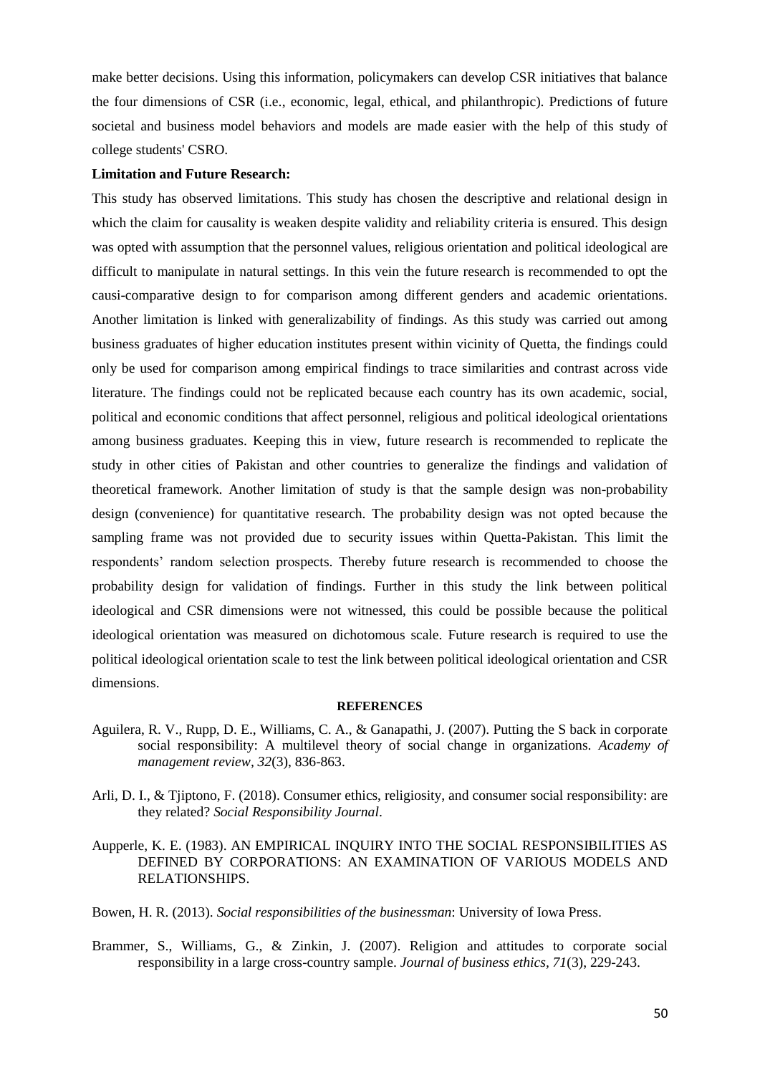make better decisions. Using this information, policymakers can develop CSR initiatives that balance the four dimensions of CSR (i.e., economic, legal, ethical, and philanthropic). Predictions of future societal and business model behaviors and models are made easier with the help of this study of college students' CSRO.

## **Limitation and Future Research:**

This study has observed limitations. This study has chosen the descriptive and relational design in which the claim for causality is weaken despite validity and reliability criteria is ensured. This design was opted with assumption that the personnel values, religious orientation and political ideological are difficult to manipulate in natural settings. In this vein the future research is recommended to opt the causi-comparative design to for comparison among different genders and academic orientations. Another limitation is linked with generalizability of findings. As this study was carried out among business graduates of higher education institutes present within vicinity of Quetta, the findings could only be used for comparison among empirical findings to trace similarities and contrast across vide literature. The findings could not be replicated because each country has its own academic, social, political and economic conditions that affect personnel, religious and political ideological orientations among business graduates. Keeping this in view, future research is recommended to replicate the study in other cities of Pakistan and other countries to generalize the findings and validation of theoretical framework. Another limitation of study is that the sample design was non-probability design (convenience) for quantitative research. The probability design was not opted because the sampling frame was not provided due to security issues within Quetta-Pakistan. This limit the respondents' random selection prospects. Thereby future research is recommended to choose the probability design for validation of findings. Further in this study the link between political ideological and CSR dimensions were not witnessed, this could be possible because the political ideological orientation was measured on dichotomous scale. Future research is required to use the political ideological orientation scale to test the link between political ideological orientation and CSR dimensions.

# **REFERENCES**

- <span id="page-15-3"></span>Aguilera, R. V., Rupp, D. E., Williams, C. A., & Ganapathi, J. (2007). Putting the S back in corporate social responsibility: A multilevel theory of social change in organizations. *Academy of management review, 32*(3), 836-863.
- <span id="page-15-4"></span>Arli, D. I., & Tjiptono, F. (2018). Consumer ethics, religiosity, and consumer social responsibility: are they related? *Social Responsibility Journal*.
- <span id="page-15-1"></span>Aupperle, K. E. (1983). AN EMPIRICAL INQUIRY INTO THE SOCIAL RESPONSIBILITIES AS DEFINED BY CORPORATIONS: AN EXAMINATION OF VARIOUS MODELS AND RELATIONSHIPS.

<span id="page-15-0"></span>Bowen, H. R. (2013). *Social responsibilities of the businessman*: University of Iowa Press.

<span id="page-15-2"></span>Brammer, S., Williams, G., & Zinkin, J. (2007). Religion and attitudes to corporate social responsibility in a large cross-country sample. *Journal of business ethics, 71*(3), 229-243.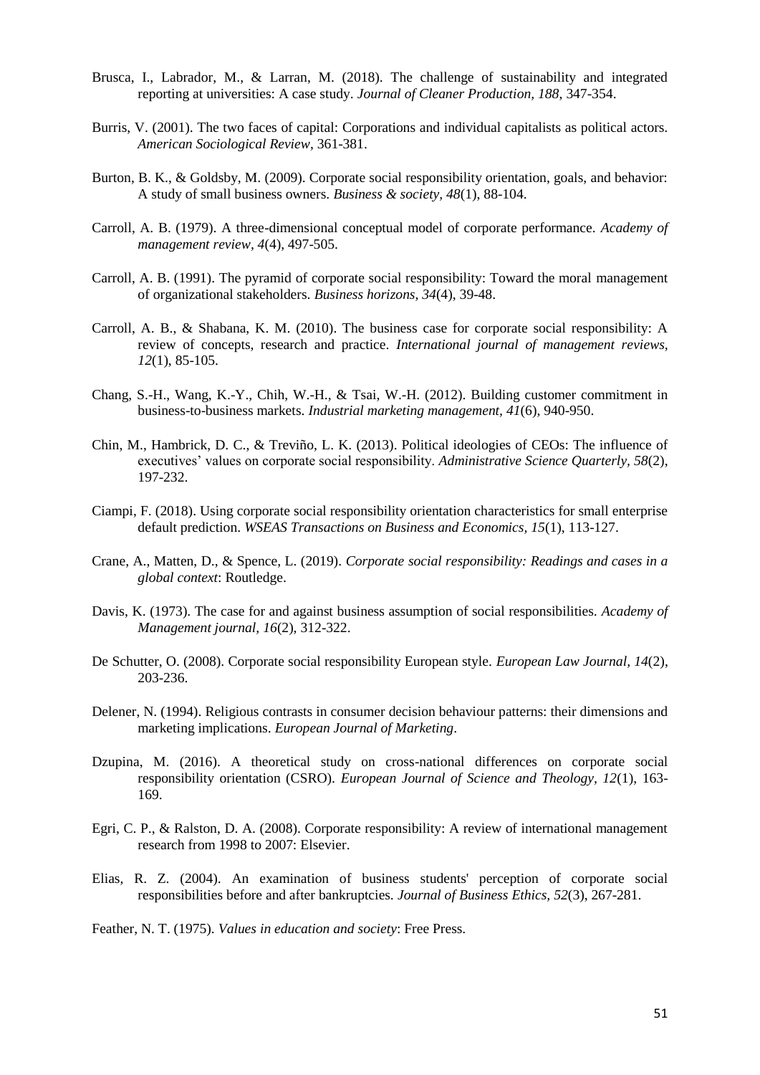- <span id="page-16-15"></span>Brusca, I., Labrador, M., & Larran, M. (2018). The challenge of sustainability and integrated reporting at universities: A case study. *Journal of Cleaner Production, 188*, 347-354.
- <span id="page-16-12"></span>Burris, V. (2001). The two faces of capital: Corporations and individual capitalists as political actors. *American Sociological Review*, 361-381.
- <span id="page-16-2"></span>Burton, B. K., & Goldsby, M. (2009). Corporate social responsibility orientation, goals, and behavior: A study of small business owners. *Business & society, 48*(1), 88-104.
- <span id="page-16-9"></span>Carroll, A. B. (1979). A three-dimensional conceptual model of corporate performance. *Academy of management review, 4*(4), 497-505.
- <span id="page-16-7"></span>Carroll, A. B. (1991). The pyramid of corporate social responsibility: Toward the moral management of organizational stakeholders. *Business horizons, 34*(4), 39-48.
- <span id="page-16-8"></span>Carroll, A. B., & Shabana, K. M. (2010). The business case for corporate social responsibility: A review of concepts, research and practice. *International journal of management reviews, 12*(1), 85-105.
- Chang, S.-H., Wang, K.-Y., Chih, W.-H., & Tsai, W.-H. (2012). Building customer commitment in business-to-business markets. *Industrial marketing management, 41*(6), 940-950.
- <span id="page-16-13"></span>Chin, M., Hambrick, D. C., & Treviño, L. K. (2013). Political ideologies of CEOs: The influence of executives' values on corporate social responsibility. *Administrative Science Quarterly, 58*(2), 197-232.
- <span id="page-16-3"></span>Ciampi, F. (2018). Using corporate social responsibility orientation characteristics for small enterprise default prediction. *WSEAS Transactions on Business and Economics, 15*(1), 113-127.
- <span id="page-16-6"></span>Crane, A., Matten, D., & Spence, L. (2019). *Corporate social responsibility: Readings and cases in a global context*: Routledge.
- <span id="page-16-1"></span>Davis, K. (1973). The case for and against business assumption of social responsibilities. *Academy of Management journal, 16*(2), 312-322.
- <span id="page-16-10"></span>De Schutter, O. (2008). Corporate social responsibility European style. *European Law Journal, 14*(2), 203-236.
- <span id="page-16-11"></span>Delener, N. (1994). Religious contrasts in consumer decision behaviour patterns: their dimensions and marketing implications. *European Journal of Marketing*.
- <span id="page-16-0"></span>Dzupina, M. (2016). A theoretical study on cross-national differences on corporate social responsibility orientation (CSRO). *European Journal of Science and Theology, 12*(1), 163- 169.
- <span id="page-16-4"></span>Egri, C. P., & Ralston, D. A. (2008). Corporate responsibility: A review of international management research from 1998 to 2007: Elsevier.
- <span id="page-16-5"></span>Elias, R. Z. (2004). An examination of business students' perception of corporate social responsibilities before and after bankruptcies. *Journal of Business Ethics, 52*(3), 267-281.

<span id="page-16-14"></span>Feather, N. T. (1975). *Values in education and society*: Free Press.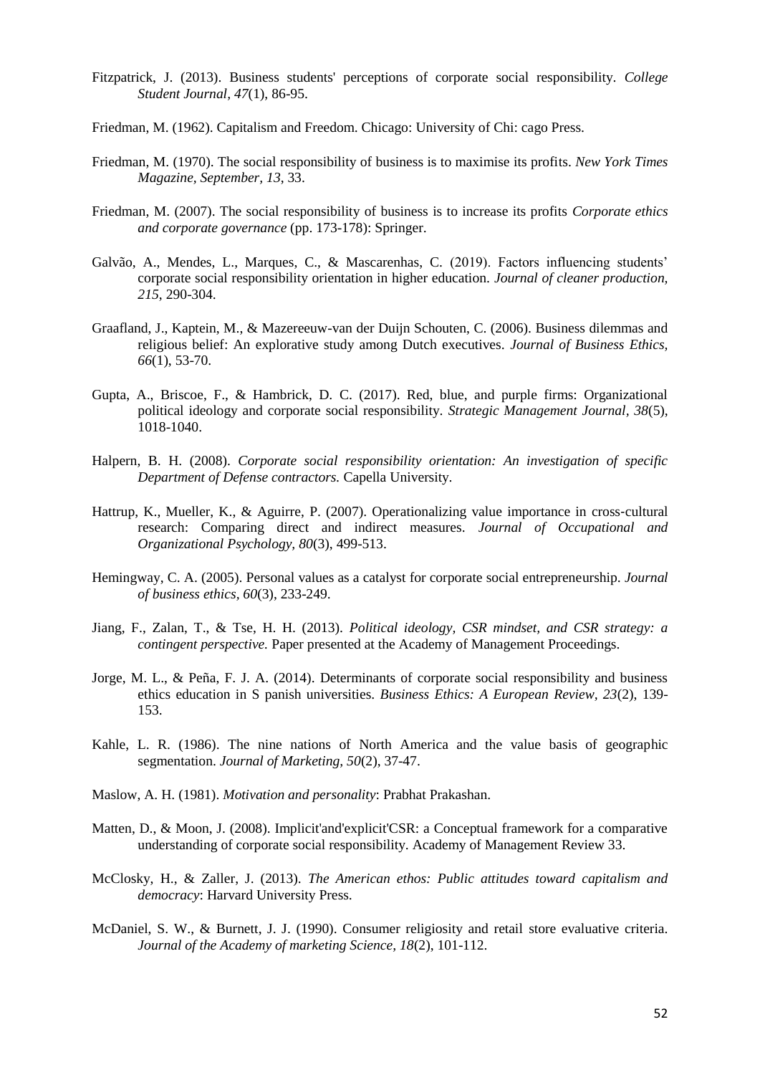- <span id="page-17-3"></span>Fitzpatrick, J. (2013). Business students' perceptions of corporate social responsibility. *College Student Journal, 47*(1), 86-95.
- <span id="page-17-1"></span>Friedman, M. (1962). Capitalism and Freedom. Chicago: University of Chi: cago Press.
- <span id="page-17-4"></span>Friedman, M. (1970). The social responsibility of business is to maximise its profits. *New York Times Magazine, September, 13*, 33.
- <span id="page-17-5"></span>Friedman, M. (2007). The social responsibility of business is to increase its profits *Corporate ethics and corporate governance* (pp. 173-178): Springer.
- <span id="page-17-0"></span>Galvão, A., Mendes, L., Marques, C., & Mascarenhas, C. (2019). Factors influencing students' corporate social responsibility orientation in higher education. *Journal of cleaner production, 215*, 290-304.
- <span id="page-17-9"></span>Graafland, J., Kaptein, M., & Mazereeuw-van der Duijn Schouten, C. (2006). Business dilemmas and religious belief: An explorative study among Dutch executives. *Journal of Business Ethics, 66*(1), 53-70.
- <span id="page-17-12"></span>Gupta, A., Briscoe, F., & Hambrick, D. C. (2017). Red, blue, and purple firms: Organizational political ideology and corporate social responsibility. *Strategic Management Journal, 38*(5), 1018-1040.
- <span id="page-17-10"></span>Halpern, B. H. (2008). *Corporate social responsibility orientation: An investigation of specific Department of Defense contractors.* Capella University.
- <span id="page-17-7"></span>Hattrup, K., Mueller, K., & Aguirre, P. (2007). Operationalizing value importance in cross‐cultural research: Comparing direct and indirect measures. *Journal of Occupational and Organizational Psychology, 80*(3), 499-513.
- <span id="page-17-6"></span>Hemingway, C. A. (2005). Personal values as a catalyst for corporate social entrepreneurship. *Journal of business ethics, 60*(3), 233-249.
- <span id="page-17-11"></span>Jiang, F., Zalan, T., & Tse, H. H. (2013). *Political ideology, CSR mindset, and CSR strategy: a contingent perspective.* Paper presented at the Academy of Management Proceedings.
- <span id="page-17-15"></span>Jorge, M. L., & Peña, F. J. A. (2014). Determinants of corporate social responsibility and business ethics education in S panish universities. *Business Ethics: A European Review, 23*(2), 139- 153.
- <span id="page-17-16"></span>Kahle, L. R. (1986). The nine nations of North America and the value basis of geographic segmentation. *Journal of Marketing, 50*(2), 37-47.
- <span id="page-17-14"></span>Maslow, A. H. (1981). *Motivation and personality*: Prabhat Prakashan.
- <span id="page-17-2"></span>Matten, D., & Moon, J. (2008). Implicit'and'explicit'CSR: a Conceptual framework for a comparative understanding of corporate social responsibility. Academy of Management Review 33.
- <span id="page-17-13"></span>McClosky, H., & Zaller, J. (2013). *The American ethos: Public attitudes toward capitalism and democracy*: Harvard University Press.
- <span id="page-17-8"></span>McDaniel, S. W., & Burnett, J. J. (1990). Consumer religiosity and retail store evaluative criteria. *Journal of the Academy of marketing Science, 18*(2), 101-112.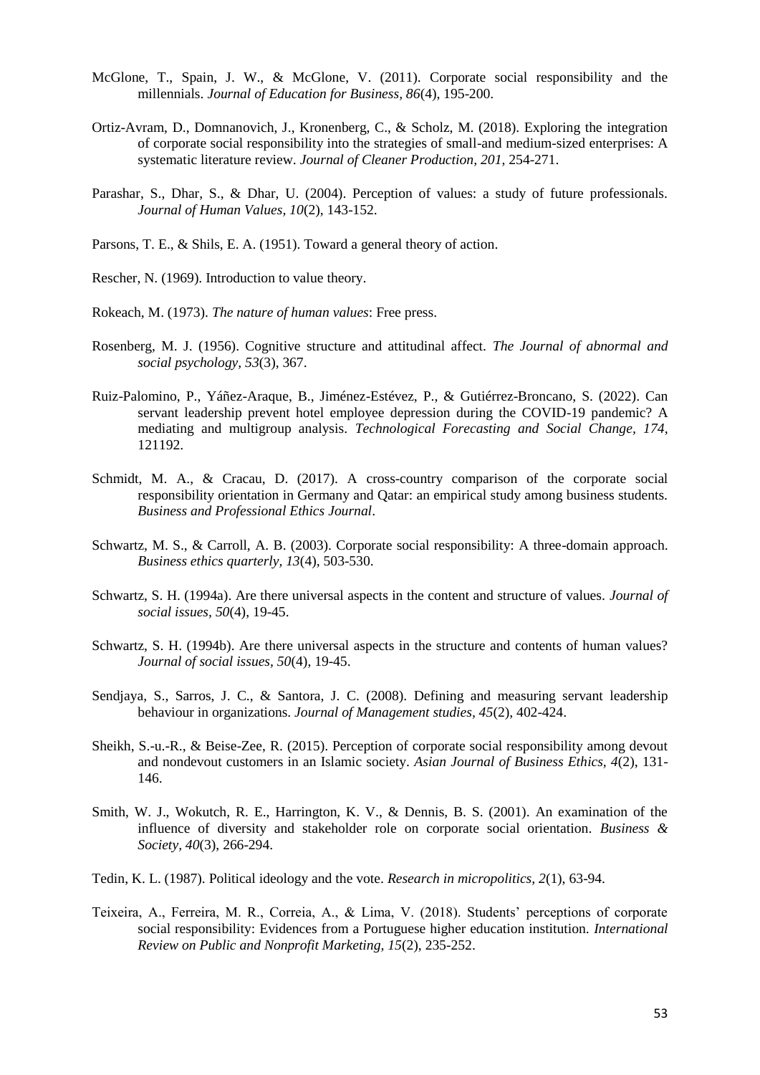- <span id="page-18-2"></span>McGlone, T., Spain, J. W., & McGlone, V. (2011). Corporate social responsibility and the millennials. *Journal of Education for Business, 86*(4), 195-200.
- <span id="page-18-0"></span>Ortiz-Avram, D., Domnanovich, J., Kronenberg, C., & Scholz, M. (2018). Exploring the integration of corporate social responsibility into the strategies of small-and medium-sized enterprises: A systematic literature review. *Journal of Cleaner Production, 201*, 254-271.
- <span id="page-18-9"></span>Parashar, S., Dhar, S., & Dhar, U. (2004). Perception of values: a study of future professionals. *Journal of Human Values, 10*(2), 143-152.
- <span id="page-18-6"></span>Parsons, T. E., & Shils, E. A. (1951). Toward a general theory of action.
- <span id="page-18-5"></span>Rescher, N. (1969). Introduction to value theory.
- <span id="page-18-4"></span>Rokeach, M. (1973). *The nature of human values*: Free press.
- <span id="page-18-7"></span>Rosenberg, M. J. (1956). Cognitive structure and attitudinal affect. *The Journal of abnormal and social psychology, 53*(3), 367.
- Ruiz-Palomino, P., Yáñez-Araque, B., Jiménez-Estévez, P., & Gutiérrez-Broncano, S. (2022). Can servant leadership prevent hotel employee depression during the COVID-19 pandemic? A mediating and multigroup analysis. *Technological Forecasting and Social Change, 174*, 121192.
- <span id="page-18-13"></span>Schmidt, M. A., & Cracau, D. (2017). A cross-country comparison of the corporate social responsibility orientation in Germany and Qatar: an empirical study among business students. *Business and Professional Ethics Journal*.
- <span id="page-18-3"></span>Schwartz, M. S., & Carroll, A. B. (2003). Corporate social responsibility: A three-domain approach. *Business ethics quarterly, 13*(4), 503-530.
- <span id="page-18-10"></span>Schwartz, S. H. (1994a). Are there universal aspects in the content and structure of values. *Journal of social issues, 50*(4), 19-45.
- <span id="page-18-8"></span>Schwartz, S. H. (1994b). Are there universal aspects in the structure and contents of human values? *Journal of social issues, 50*(4), 19-45.
- Sendjaya, S., Sarros, J. C., & Santora, J. C. (2008). Defining and measuring servant leadership behaviour in organizations. *Journal of Management studies, 45*(2), 402-424.
- <span id="page-18-14"></span>Sheikh, S.-u.-R., & Beise-Zee, R. (2015). Perception of corporate social responsibility among devout and nondevout customers in an Islamic society. *Asian Journal of Business Ethics, 4*(2), 131- 146.
- <span id="page-18-12"></span>Smith, W. J., Wokutch, R. E., Harrington, K. V., & Dennis, B. S. (2001). An examination of the influence of diversity and stakeholder role on corporate social orientation. *Business & Society, 40*(3), 266-294.
- <span id="page-18-11"></span>Tedin, K. L. (1987). Political ideology and the vote. *Research in micropolitics, 2*(1), 63-94.
- <span id="page-18-1"></span>Teixeira, A., Ferreira, M. R., Correia, A., & Lima, V. (2018). Students' perceptions of corporate social responsibility: Evidences from a Portuguese higher education institution. *International Review on Public and Nonprofit Marketing, 15*(2), 235-252.